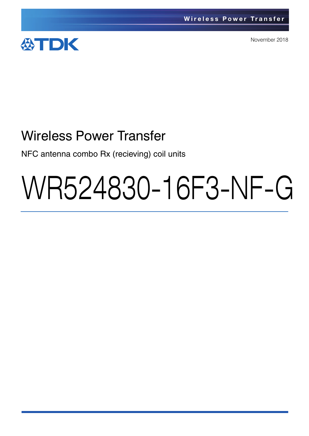

November 2018

# Wireless Power Transfer

NFC antenna combo Rx (recieving) coil units

# WR524830-16F3-NF-G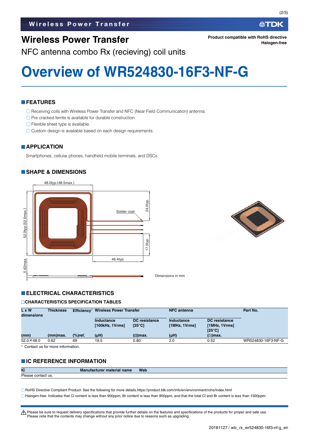## **Wireless Power Transfer**

NFC antenna combo Rx (recieving) coil units

## **Overview of WR524830-16F3-NF-G**

#### **FEATURES**

Receiving coils with Wireless Power Transfer and NFC (Near Field Communication) antenna.

- $\bigcirc$  Pre cracked ferrite is available for durable construction.
- Flexible sheet type is available.
- O Custom design is available based on each design requirements.

#### **APPLICATION**

Smartphones, cellular phones, handheld mobile terminals, and DSCs

#### **SHAPE & DIMENSIONS**





Dimensions in mm

#### **ELECTRICAL CHARACTERISTICS**

#### **CHARACTERISTICS SPECIFICATION TABLES**

| L x W<br>dimensions | <b>Thickness</b> | Efficiency*        | <b>Wireless Power Transfer</b> |                                         | <b>NFC</b> antenna          |                                                          | Part No.           |
|---------------------|------------------|--------------------|--------------------------------|-----------------------------------------|-----------------------------|----------------------------------------------------------|--------------------|
|                     |                  |                    | Inductance<br>[100kHz, 1Vrms]  | <b>DC</b> resistance<br>$[25^{\circ}C]$ | Inductance<br>[1MHz, 1Vrms] | <b>DC</b> resistance<br>[1MHz, 1Vrms]<br>$[25^{\circ}C]$ |                    |
| (mm)                | (mm)max.         | $\frac{9}{6}$ ref. | $(\mu H)$                      | $(Ω)$ max.                              | (µH)                        | $(\Omega)$ max.                                          |                    |
| $52.0 \times 48.0$  | 0.62             | 69                 | 19.5                           | 0.80                                    | 2.0                         | 0.52                                                     | WR524830-16F3-NF-G |

Contact us for more information.

#### **IC REFERENCE INFORMATION**

| IC                      | <b>Manufacture</b><br><sup>.</sup> material name | <b>Web</b> |
|-------------------------|--------------------------------------------------|------------|
| Please<br>e contact us. |                                                  |            |

RoHS Directive Compliant Product: See the following for more details.https://product.tdk.com/info/en/environment/rohs/index.html

Halogen-free: Indicates that Cl content is less than 900ppm, Br content is less than 900ppm, and that the total Cl and Br content is less than 1500ppm.

A Please be sure to request delivery specifications that provide further details on the features and specifications of the products for proper and safe use. Please note that the contents may change without any prior notice due to reasons such as upgrading.

**Halogen-free**

∰TDK

**Product compatible with RoHS directive**